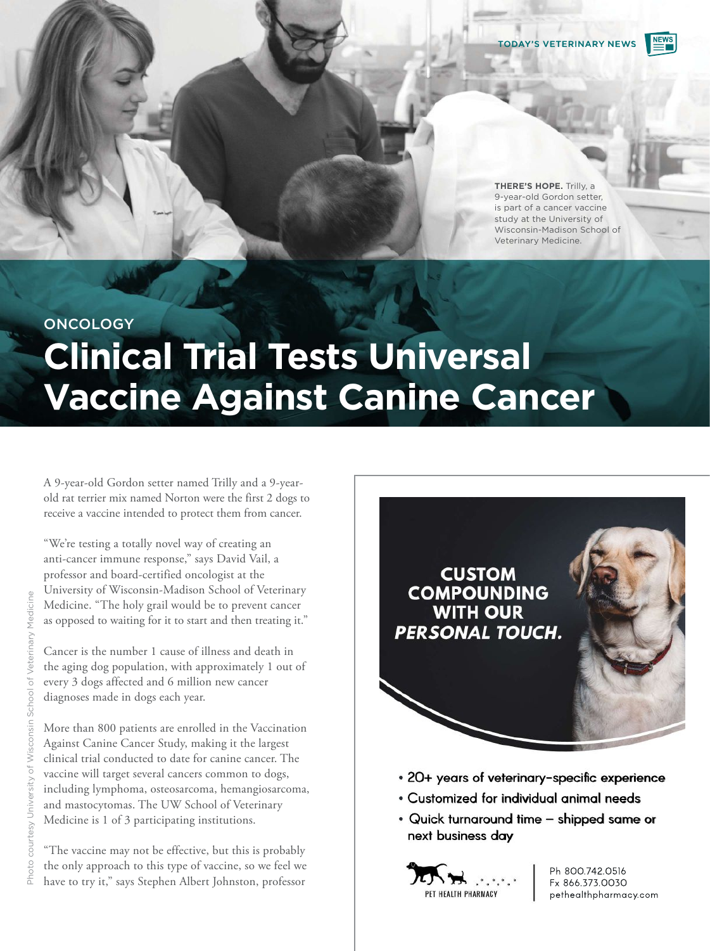

**THERE'S HOPE.** Trilly, a 9-year-old Gordon setter, is part of a cancer vaccine study at the University of Wisconsin-Madison School of Veterinary Medicine.

## **ONCOLOGY**

# **Clinical Trial Tests Universal Vaccine Against Canine Cancer**

A 9-year-old Gordon setter named Trilly and a 9-yearold rat terrier mix named Norton were the first 2 dogs to receive a vaccine intended to protect them from cancer.

"We're testing a totally novel way of creating an anti-cancer immune response," says David Vail, a professor and board-certified oncologist at the University of Wisconsin-Madison School of Veterinary Medicine. "The holy grail would be to prevent cancer as opposed to waiting for it to start and then treating it."

Cancer is the number 1 cause of illness and death in the aging dog population, with approximately 1 out of every 3 dogs affected and 6 million new cancer diagnoses made in dogs each year.

More than 800 patients are enrolled in the Vaccination Against Canine Cancer Study, making it the largest clinical trial conducted to date for canine cancer. The vaccine will target several cancers common to dogs, including lymphoma, osteosarcoma, hemangiosarcoma, and mastocytomas. The UW School of Veterinary Medicine is 1 of 3 participating institutions.

"The vaccine may not be effective, but this is probably the only approach to this type of vaccine, so we feel we have to try it," says Stephen Albert Johnston, professor



- 20+ years of veterinary-specific experience
- Customized for individual animal needs
- ser<br>**an**<br>30 • Quick turnaround time – shipped same or next business day



Ph 800.742.0516 Fx 866.373.0030 [pethealthpharmacy.com](http://pethealthpharmacy.com)